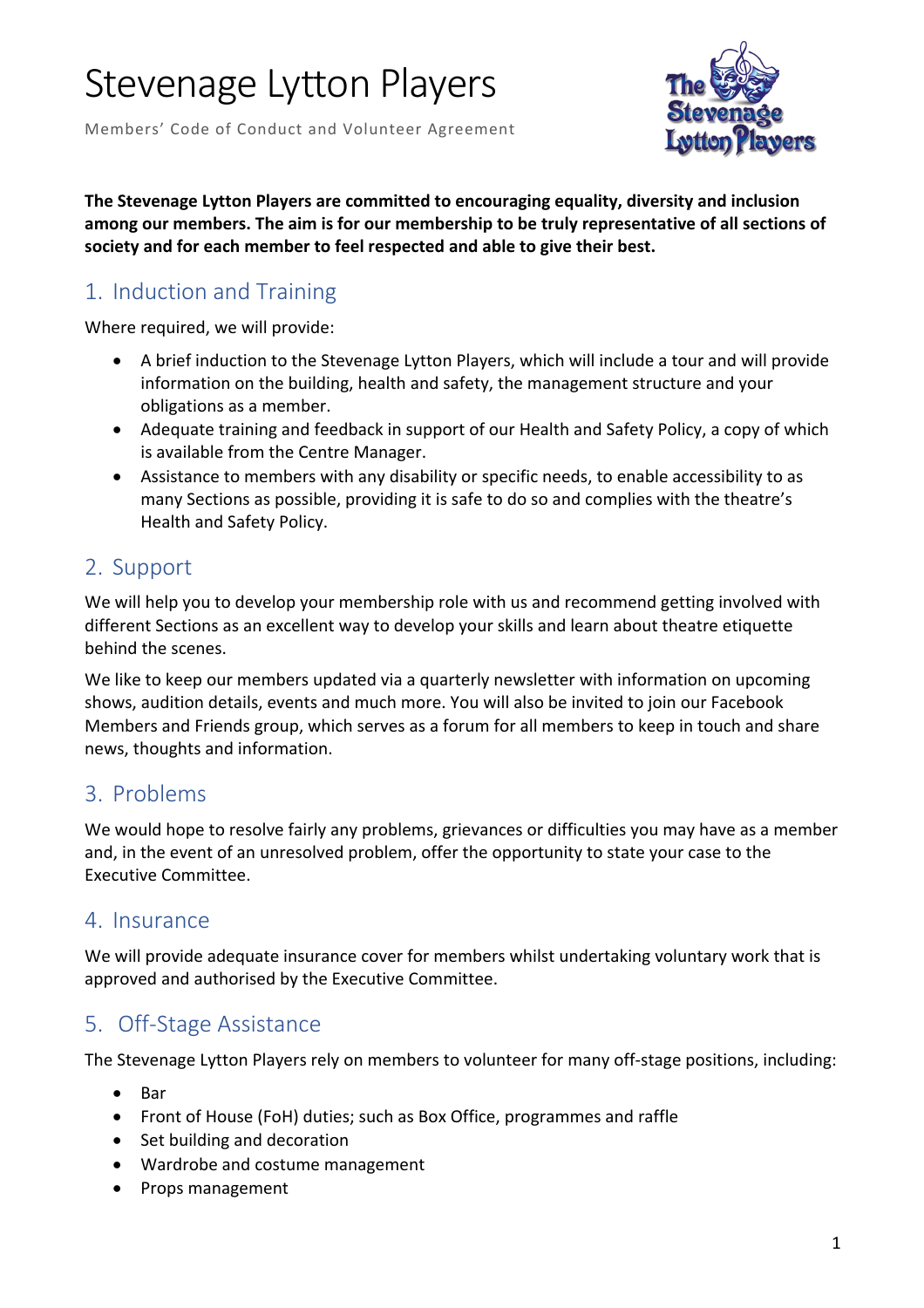Members' Code of Conduct and Volunteer Agreement



**The Stevenage Lytton Players are committed to encouraging equality, diversity and inclusion among our members. The aim is for our membership to be truly representative of all sections of society and for each member to feel respected and able to give their best.**

## 1. Induction and Training

Where required, we will provide:

- A brief induction to the Stevenage Lytton Players, which will include a tour and will provide information on the building, health and safety, the management structure and your obligations as a member.
- Adequate training and feedback in support of our Health and Safety Policy, a copy of which is available from the Centre Manager.
- Assistance to members with any disability or specific needs, to enable accessibility to as many Sections as possible, providing it is safe to do so and complies with the theatre's Health and Safety Policy.

### 2. Support

We will help you to develop your membership role with us and recommend getting involved with different Sections as an excellent way to develop your skills and learn about theatre etiquette behind the scenes.

We like to keep our members updated via a quarterly newsletter with information on upcoming shows, audition details, events and much more. You will also be invited to join our Facebook Members and Friends group, which serves as a forum for all members to keep in touch and share news, thoughts and information.

### 3. Problems

We would hope to resolve fairly any problems, grievances or difficulties you may have as a member and, in the event of an unresolved problem, offer the opportunity to state your case to the Executive Committee.

### 4. Insurance

We will provide adequate insurance cover for members whilst undertaking voluntary work that is approved and authorised by the Executive Committee.

## 5. Off-Stage Assistance

The Stevenage Lytton Players rely on members to volunteer for many off-stage positions, including:

- Bar
- Front of House (FoH) duties; such as Box Office, programmes and raffle
- Set building and decoration
- Wardrobe and costume management
- Props management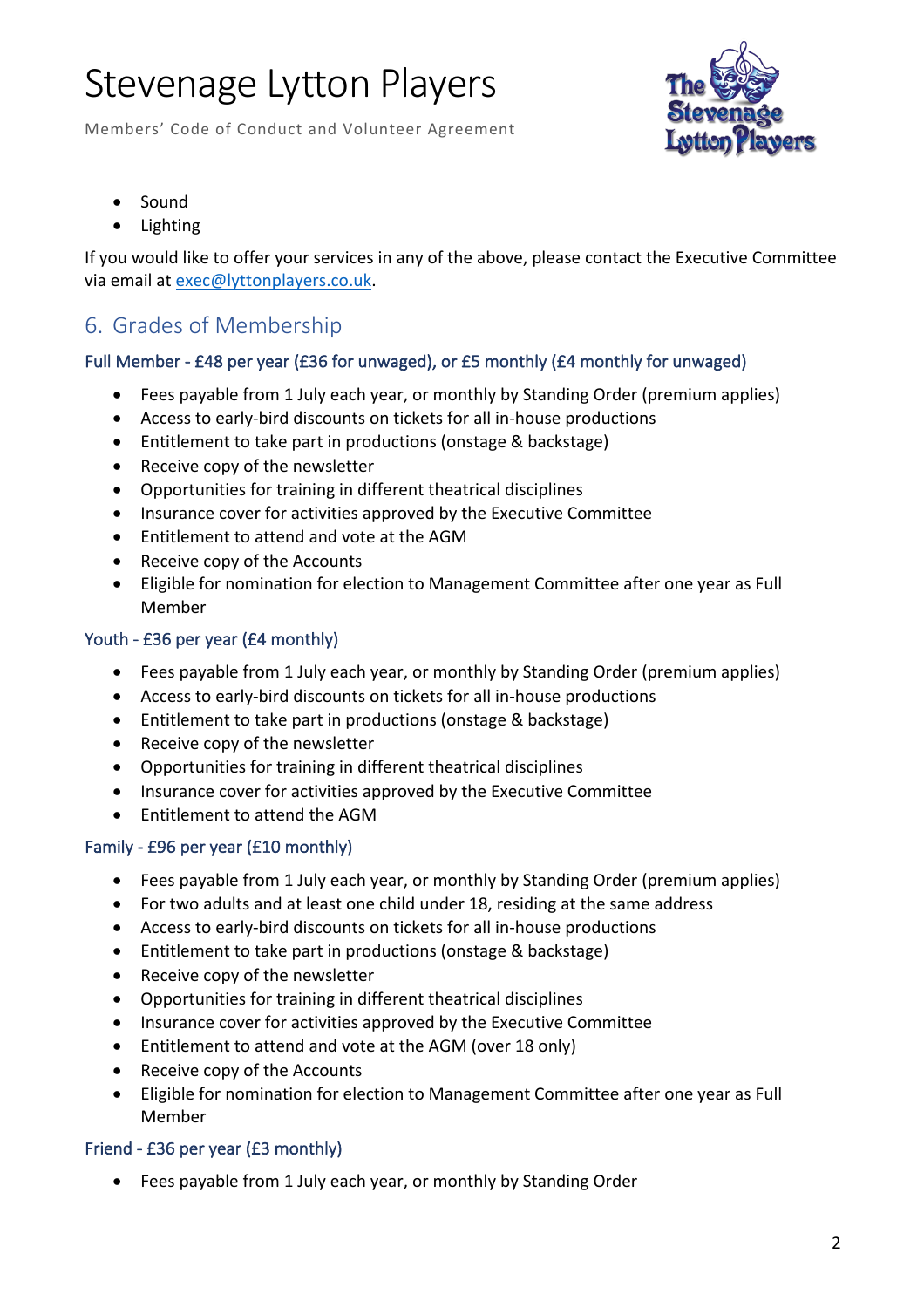Members' Code of Conduct and Volunteer Agreement



- Sound
- Lighting

If you would like to offer your services in any of the above, please contact the Executive Committee via email at exec@lyttonplayers.co.uk.

## 6. Grades of Membership

#### Full Member - £48 per year (£36 for unwaged), or £5 monthly (£4 monthly for unwaged)

- Fees payable from 1 July each year, or monthly by Standing Order (premium applies)
- Access to early-bird discounts on tickets for all in-house productions
- Entitlement to take part in productions (onstage & backstage)
- Receive copy of the newsletter
- Opportunities for training in different theatrical disciplines
- Insurance cover for activities approved by the Executive Committee
- Entitlement to attend and vote at the AGM
- Receive copy of the Accounts
- Eligible for nomination for election to Management Committee after one year as Full Member

#### Youth - £36 per year (£4 monthly)

- Fees payable from 1 July each year, or monthly by Standing Order (premium applies)
- Access to early-bird discounts on tickets for all in-house productions
- Entitlement to take part in productions (onstage & backstage)
- Receive copy of the newsletter
- Opportunities for training in different theatrical disciplines
- Insurance cover for activities approved by the Executive Committee
- Entitlement to attend the AGM

#### Family - £96 per year (£10 monthly)

- Fees payable from 1 July each year, or monthly by Standing Order (premium applies)
- For two adults and at least one child under 18, residing at the same address
- Access to early-bird discounts on tickets for all in-house productions
- Entitlement to take part in productions (onstage & backstage)
- Receive copy of the newsletter
- Opportunities for training in different theatrical disciplines
- Insurance cover for activities approved by the Executive Committee
- Entitlement to attend and vote at the AGM (over 18 only)
- Receive copy of the Accounts
- Eligible for nomination for election to Management Committee after one year as Full Member

#### Friend - £36 per year (£3 monthly)

• Fees payable from 1 July each year, or monthly by Standing Order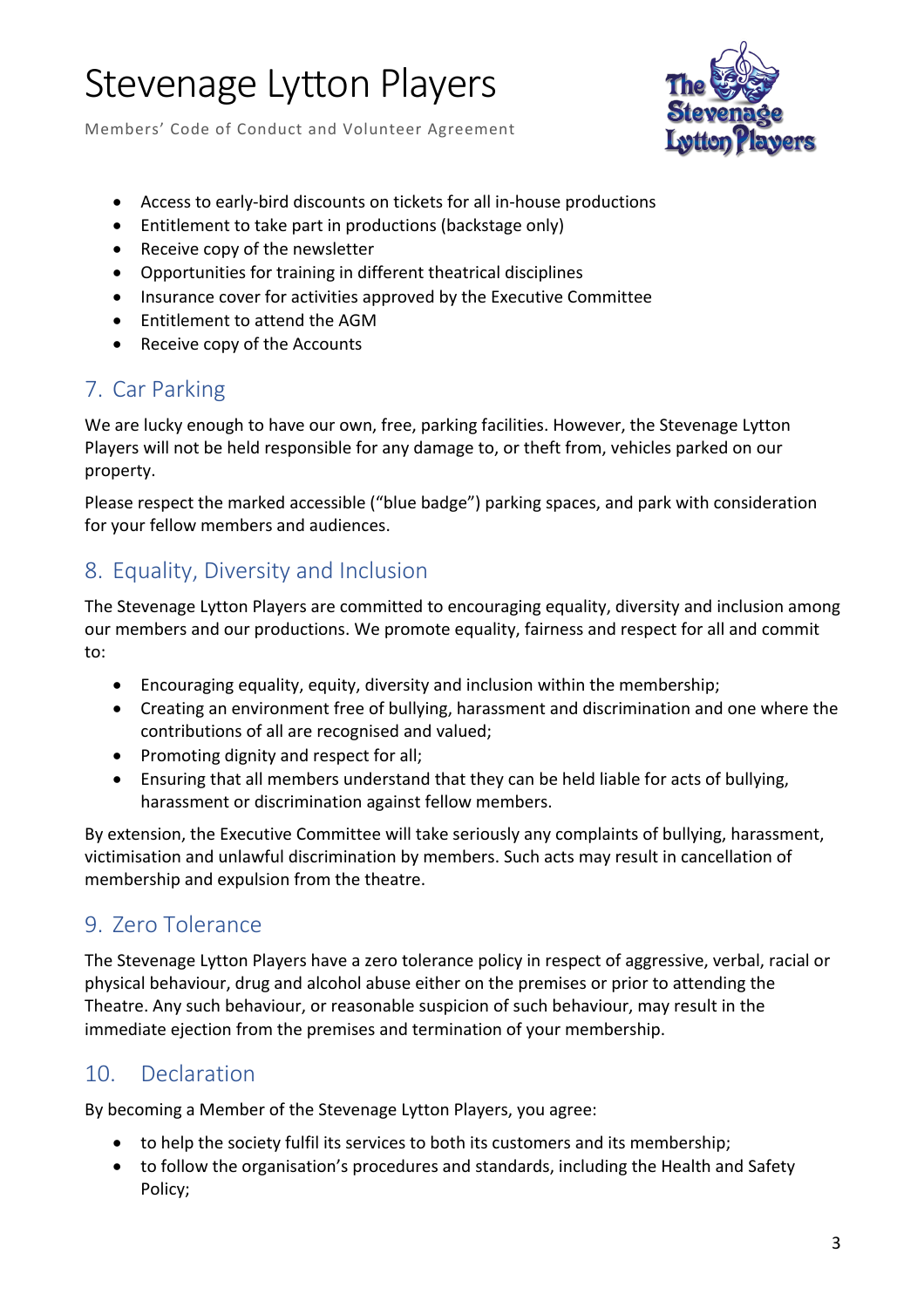Members' Code of Conduct and Volunteer Agreement



- Access to early-bird discounts on tickets for all in-house productions
- Entitlement to take part in productions (backstage only)
- Receive copy of the newsletter
- Opportunities for training in different theatrical disciplines
- Insurance cover for activities approved by the Executive Committee
- Entitlement to attend the AGM
- Receive copy of the Accounts

## 7. Car Parking

We are lucky enough to have our own, free, parking facilities. However, the Stevenage Lytton Players will not be held responsible for any damage to, or theft from, vehicles parked on our property.

Please respect the marked accessible ("blue badge") parking spaces, and park with consideration for your fellow members and audiences.

## 8. Equality, Diversity and Inclusion

The Stevenage Lytton Players are committed to encouraging equality, diversity and inclusion among our members and our productions. We promote equality, fairness and respect for all and commit to:

- Encouraging equality, equity, diversity and inclusion within the membership;
- Creating an environment free of bullying, harassment and discrimination and one where the contributions of all are recognised and valued;
- Promoting dignity and respect for all;
- Ensuring that all members understand that they can be held liable for acts of bullying, harassment or discrimination against fellow members.

By extension, the Executive Committee will take seriously any complaints of bullying, harassment, victimisation and unlawful discrimination by members. Such acts may result in cancellation of membership and expulsion from the theatre.

## 9. Zero Tolerance

The Stevenage Lytton Players have a zero tolerance policy in respect of aggressive, verbal, racial or physical behaviour, drug and alcohol abuse either on the premises or prior to attending the Theatre. Any such behaviour, or reasonable suspicion of such behaviour, may result in the immediate ejection from the premises and termination of your membership.

## 10. Declaration

By becoming a Member of the Stevenage Lytton Players, you agree:

- to help the society fulfil its services to both its customers and its membership;
- to follow the organisation's procedures and standards, including the Health and Safety Policy;